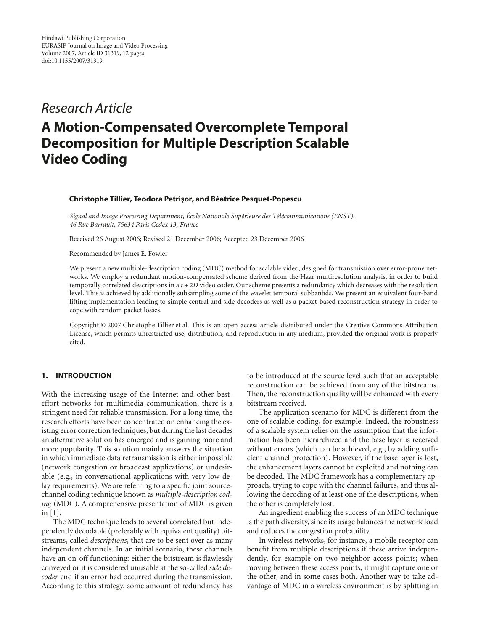## *Research Article*

# **A Motion-Compensated Overcomplete Temporal Decomposition for Multiple Description Scalable Video Coding**

#### **Christophe Tillier, Teodora Petrisor, and Béatrice Pesquet-Popescu**

*Signal and Image Processing Department, Ecole Nationale Sup ´ ´erieure des T´el´ecommunications (ENST), 46 Rue Barrault, 75634 Paris C´edex 13, France*

Received 26 August 2006; Revised 21 December 2006; Accepted 23 December 2006

Recommended by James E. Fowler

We present a new multiple-description coding (MDC) method for scalable video, designed for transmission over error-prone networks. We employ a redundant motion-compensated scheme derived from the Haar multiresolution analysis, in order to build temporally correlated descriptions in a *t* + 2*D* video coder. Our scheme presents a redundancy which decreases with the resolution level. This is achieved by additionally subsampling some of the wavelet temporal subbanbds. We present an equivalent four-band lifting implementation leading to simple central and side decoders as well as a packet-based reconstruction strategy in order to cope with random packet losses.

Copyright © 2007 Christophe Tillier et al. This is an open access article distributed under the Creative Commons Attribution License, which permits unrestricted use, distribution, and reproduction in any medium, provided the original work is properly cited.

#### **1. INTRODUCTION**

With the increasing usage of the Internet and other besteffort networks for multimedia communication, there is a stringent need for reliable transmission. For a long time, the research efforts have been concentrated on enhancing the existing error correction techniques, but during the last decades an alternative solution has emerged and is gaining more and more popularity. This solution mainly answers the situation in which immediate data retransmission is either impossible (network congestion or broadcast applications) or undesirable (e.g., in conversational applications with very low delay requirements). We are referring to a specific joint sourcechannel coding technique known as *multiple-description coding* (MDC). A comprehensive presentation of MDC is given in [\[1\]](#page-10-1).

The MDC technique leads to several correlated but independently decodable (preferably with equivalent quality) bitstreams, called *descriptions*, that are to be sent over as many independent channels. In an initial scenario, these channels have an on-off functioning: either the bitstream is flawlessly conveyed or it is considered unusable at the so-called *side decoder* end if an error had occurred during the transmission. According to this strategy, some amount of redundancy has

to be introduced at the source level such that an acceptable reconstruction can be achieved from any of the bitstreams. Then, the reconstruction quality will be enhanced with every bitstream received.

The application scenario for MDC is different from the one of scalable coding, for example. Indeed, the robustness of a scalable system relies on the assumption that the information has been hierarchized and the base layer is received without errors (which can be achieved, e.g., by adding sufficient channel protection). However, if the base layer is lost, the enhancement layers cannot be exploited and nothing can be decoded. The MDC framework has a complementary approach, trying to cope with the channel failures, and thus allowing the decoding of at least one of the descriptions, when the other is completely lost.

An ingredient enabling the success of an MDC technique is the path diversity, since its usage balances the network load and reduces the congestion probability.

In wireless networks, for instance, a mobile receptor can benefit from multiple descriptions if these arrive independently, for example on two neighbor access points; when moving between these access points, it might capture one or the other, and in some cases both. Another way to take advantage of MDC in a wireless environment is by splitting in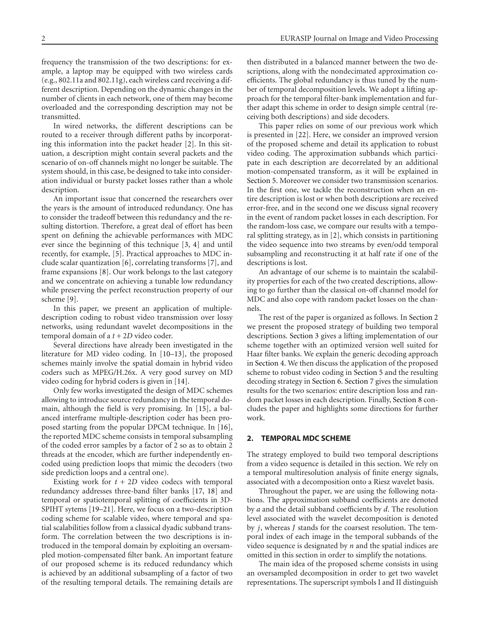frequency the transmission of the two descriptions: for example, a laptop may be equipped with two wireless cards (e.g., 802.11a and 802.11g), each wireless card receiving a different description. Depending on the dynamic changes in the number of clients in each network, one of them may become overloaded and the corresponding description may not be transmitted.

In wired networks, the different descriptions can be routed to a receiver through different paths by incorporating this information into the packet header [\[2](#page-10-2)]. In this situation, a description might contain several packets and the scenario of on-off channels might no longer be suitable. The system should, in this case, be designed to take into consideration individual or bursty packet losses rather than a whole description.

An important issue that concerned the researchers over the years is the amount of introduced redundancy. One has to consider the tradeoff between this redundancy and the resulting distortion. Therefore, a great deal of effort has been spent on defining the achievable performances with MDC ever since the beginning of this technique [\[3,](#page-10-3) [4](#page-10-4)] and until recently, for example, [\[5\]](#page-10-5). Practical approaches to MDC include scalar quantization [\[6](#page-10-6)], correlating transforms [\[7](#page-10-7)], and frame expansions [\[8](#page-10-8)]. Our work belongs to the last category and we concentrate on achieving a tunable low redundancy while preserving the perfect reconstruction property of our scheme [\[9](#page-10-9)].

In this paper, we present an application of multipledescription coding to robust video transmission over lossy networks, using redundant wavelet decompositions in the temporal domain of a *t* + 2*D* video coder.

Several directions have already been investigated in the literature for MD video coding. In [\[10](#page-10-10)[–13](#page-10-11)], the proposed schemes mainly involve the spatial domain in hybrid video coders such as MPEG/H.26x. A very good survey on MD video coding for hybrid coders is given in [\[14\]](#page-10-12).

Only few works investigated the design of MDC schemes allowing to introduce source redundancy in the temporal domain, although the field is very promising. In [\[15\]](#page-10-13), a balanced interframe multiple-description coder has been proposed starting from the popular DPCM technique. In [\[16](#page-11-0)], the reported MDC scheme consists in temporal subsampling of the coded error samples by a factor of 2 so as to obtain 2 threads at the encoder, which are further independently encoded using prediction loops that mimic the decoders (two side prediction loops and a central one).

Existing work for  $t + 2D$  video codecs with temporal redundancy addresses three-band filter banks [\[17](#page-11-1), [18\]](#page-11-2) and temporal or spatiotemporal splitting of coefficients in 3D-SPIHT sytems [\[19](#page-11-3)[–21](#page-11-4)]. Here, we focus on a two-description coding scheme for scalable video, where temporal and spatial scalabilities follow from a classical dyadic subband transform. The correlation between the two descriptions is introduced in the temporal domain by exploiting an oversampled motion-compensated filter bank. An important feature of our proposed scheme is its reduced redundancy which is achieved by an additional subsampling of a factor of two of the resulting temporal details. The remaining details are

then distributed in a balanced manner between the two descriptions, along with the nondecimated approximation coefficients. The global redundancy is thus tuned by the number of temporal decomposition levels. We adopt a lifting approach for the temporal filter-bank implementation and further adapt this scheme in order to design simple central (receiving both descriptions) and side decoders.

This paper relies on some of our previous work which is presented in [\[22](#page-11-5)]. Here, we consider an improved version of the proposed scheme and detail its application to robust video coding. The approximation subbands which participate in each description are decorrelated by an additional motion-compensated transform, as it will be explained in [Section 5.](#page-4-0) Moreover we consider two transmission scenarios. In the first one, we tackle the reconstruction when an entire description is lost or when both descriptions are received error-free, and in the second one we discuss signal recovery in the event of random packet losses in each description. For the random-loss case, we compare our results with a temporal splitting strategy, as in [\[2](#page-10-2)], which consists in partitioning the video sequence into two streams by even/odd temporal subsampling and reconstructing it at half rate if one of the descriptions is lost.

An advantage of our scheme is to maintain the scalability properties for each of the two created descriptions, allowing to go further than the classical on-off channel model for MDC and also cope with random packet losses on the channels.

The rest of the paper is organized as follows. In [Section 2](#page-1-0) we present the proposed strategy of building two temporal descriptions. [Section 3](#page-2-0) gives a lifting implementation of our scheme together with an optimized version well suited for Haar filter banks. We explain the generic decoding approach in [Section 4.](#page-3-0) We then discuss the application of the proposed scheme to robust video coding in [Section 5](#page-4-0) and the resulting decoding strategy in [Section 6.](#page-5-0) [Section 7](#page-7-0) gives the simulation results for the two scenarios: entire description loss and random packet losses in each description. Finally, [Section 8](#page-9-0) concludes the paper and highlights some directions for further work.

### <span id="page-1-0"></span>**2. TEMPORAL MDC SCHEME**

The strategy employed to build two temporal descriptions from a video sequence is detailed in this section. We rely on a temporal multiresolution analysis of finite energy signals, associated with a decomposition onto a Riesz wavelet basis.

Throughout the paper, we are using the following notations. The approximation subband coefficients are denoted by *a* and the detail subband coefficients by *d*. The resolution level associated with the wavelet decomposition is denoted by *j*, whereas *J* stands for the coarsest resolution. The temporal index of each image in the temporal subbands of the video sequence is designated by *n* and the spatial indices are omitted in this section in order to simplify the notations.

The main idea of the proposed scheme consists in using an oversampled decomposition in order to get two wavelet representations. The superscript symbols I and II distinguish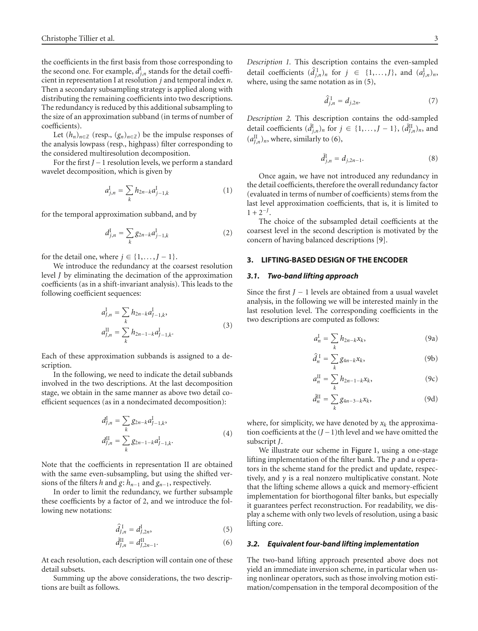the coefficients in the first basis from those corresponding to the second one. For example,  $d_{j,n}^{\mathrm{I}}$  stands for the detail coefficient in representation I at resolution *j* and temporal index *n*. Then a secondary subsampling strategy is applied along with distributing the remaining coefficients into two descriptions. The redundancy is reduced by this additional subsampling to the size of an approximation subband (in terms of number of coefficients).

Let  $(h_n)_{n \in \mathbb{Z}}$  (resp.,  $(g_n)_{n \in \mathbb{Z}}$ ) be the impulse responses of the analysis lowpass (resp., highpass) filter corresponding to the considered multiresolution decomposition.

For the first *J* −1 resolution levels, we perform a standard wavelet decomposition, which is given by

$$
a_{j,n}^{\mathrm{I}} = \sum_{k} h_{2n-k} a_{j-1,k}^{\mathrm{I}} \tag{1}
$$

for the temporal approximation subband, and by

$$
d_{j,n}^{\mathrm{I}} = \sum_{k} g_{2n-k} a_{j-1,k}^{\mathrm{I}} \tag{2}
$$

for the detail one, where  $j \in \{1, \ldots, J-1\}$ .

We introduce the redundancy at the coarsest resolution level *J* by eliminating the decimation of the approximation coefficients (as in a shift-invariant analysis). This leads to the following coefficient sequences:

$$
a_{J,n}^{\text{I}} = \sum_{k} h_{2n-k} a_{J-1,k}^{\text{I}},
$$
  
\n
$$
a_{J,n}^{\text{II}} = \sum_{k} h_{2n-1-k} a_{J-1,k}^{\text{I}}.
$$
\n(3)

Each of these approximation subbands is assigned to a description.

In the following, we need to indicate the detail subbands involved in the two descriptions. At the last decomposition stage, we obtain in the same manner as above two detail coefficient sequences (as in a nondecimated decomposition):

$$
d_{J,n}^{\text{I}} = \sum_{k} g_{2n-k} d_{J-1,k}^{\text{I}},
$$
  
\n
$$
d_{J,n}^{\text{II}} = \sum_{k} g_{2n-1-k} d_{J-1,k}^{\text{I}}.
$$
\n(4)

Note that the coefficients in representation II are obtained with the same even-subsampling, but using the shifted versions of the filters *h* and *g*:  $h_{n-1}$  and  $g_{n-1}$ , respectively.

In order to limit the redundancy, we further subsample these coefficients by a factor of 2, and we introduce the following new notations:

<span id="page-2-2"></span><span id="page-2-1"></span>
$$
\hat{d}_{J,n}^{\,\mathrm{I}} = d_{J,2n}^{\mathrm{I}},\tag{5}
$$

$$
\check{d}^{\rm II}_{J,n} = d^{\rm II}_{J,2n-1}.
$$
 (6)

At each resolution, each description will contain one of these detail subsets.

Summing up the above considerations, the two descriptions are built as follows.

*Description 1.* This description contains the even-sampled detail coefficients  $(\hat{d}_{j,n}^{\text{I}})_{n}$  for  $j \in \{1,\ldots,J\}$ , and  $(d_{j,n}^{\text{I}})_{n}$ , where, using the same notation as in [\(5\)](#page-2-1),

$$
\widehat{d}_{j,n}^{\,\mathrm{I}} = d_{j,2n}.\tag{7}
$$

*Description 2.* This description contains the odd-sampled detail coefficients  $(\tilde{d}_{j,n}^{\text{I}})_n$  for  $j \in \{1,\ldots,J-1\}$ ,  $(\tilde{d}_{J,n}^{\text{II}})_n$ , and  $(a_{J,n}^{\text{II}})_{n}$ , where, similarly to [\(6\)](#page-2-2),

$$
\check{d}_{j,n}^{\mathrm{I}} = d_{j,2n-1}.\tag{8}
$$

Once again, we have not introduced any redundancy in the detail coefficients, therefore the overall redundancy factor (evaluated in terms of number of coefficients) stems from the last level approximation coefficients, that is, it is limited to  $1+2^{-J}$ .

The choice of the subsampled detail coefficients at the coarsest level in the second description is motivated by the concern of having balanced descriptions [\[9\]](#page-10-9).

#### <span id="page-2-0"></span>**3. LIFTING-BASED DESIGN OF THE ENCODER**

#### *3.1. Two-band lifting approach*

Since the first *J* − 1 levels are obtained from a usual wavelet analysis, in the following we will be interested mainly in the last resolution level. The corresponding coefficients in the two descriptions are computed as follows:

<span id="page-2-4"></span><span id="page-2-3"></span>
$$
a_n^{\mathrm{I}} = \sum_k h_{2n-k} x_k, \tag{9a}
$$

$$
\hat{d}_n^{\,\mathrm{I}} = \sum_k g_{4n-k} x_k,\tag{9b}
$$

<span id="page-2-5"></span>
$$
a_n^{\text{II}} = \sum_k h_{2n-1-k} x_k, \tag{9c}
$$

<span id="page-2-6"></span>
$$
\check{d}_n^{\mathrm{II}} = \sum_k g_{4n-3-k} x_k, \tag{9d}
$$

where, for simplicity, we have denoted by  $x_k$  the approximation coefficients at the (*J* −1)th level and we have omitted the subscript *J*.

We illustrate our scheme in [Figure 1,](#page-3-1) using a one-stage lifting implementation of the filter bank. The *p* and *u* operators in the scheme stand for the predict and update, respectively, and  $\gamma$  is a real nonzero multiplicative constant. Note that the lifting scheme allows a quick and memory-efficient implementation for biorthogonal filter banks, but especially it guarantees perfect reconstruction. For readability, we display a scheme with only two levels of resolution, using a basic lifting core.

#### *3.2. Equivalent four-band lifting implementation*

The two-band lifting approach presented above does not yield an immediate inversion scheme, in particular when using nonlinear operators, such as those involving motion estimation/compensation in the temporal decomposition of the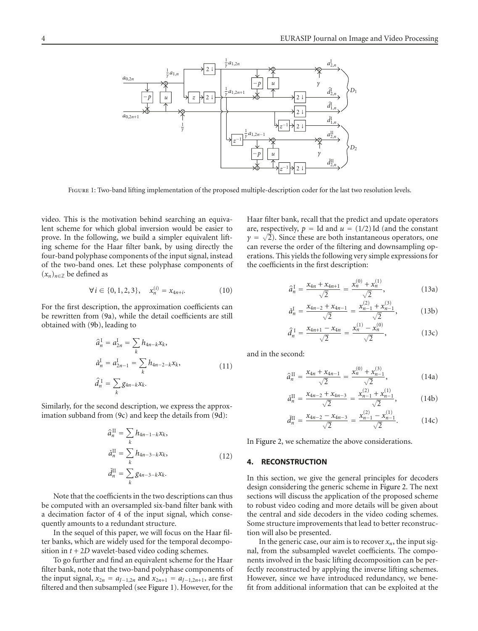

FIGURE 1: Two-band lifting implementation of the proposed multiple-description coder for the last two resolution levels.

<span id="page-3-1"></span>video. This is the motivation behind searching an equivalent scheme for which global inversion would be easier to prove. In the following, we build a simpler equivalent lifting scheme for the Haar filter bank, by using directly the four-band polyphase components of the input signal, instead of the two-band ones. Let these polyphase components of  $(x_n)_{n \in \mathbb{Z}}$  be defined as

$$
\forall i \in \{0, 1, 2, 3\}, \quad x_n^{(i)} = x_{4n+i}.\tag{10}
$$

For the first description, the approximation coefficients can be rewritten from [\(9a\)](#page-2-3), while the detail coefficients are still obtained with [\(9b\)](#page-2-4), leading to

$$
\begin{aligned}\n\hat{a}_n^{\mathrm{I}} &= a_{2n}^{\mathrm{I}} = \sum_k h_{4n-k} x_k, \\
\check{a}_n^{\mathrm{I}} &= a_{2n-1}^{\mathrm{I}} = \sum_k h_{4n-2-k} x_k, \\
\hat{a}_n^{\mathrm{I}} &= \sum_k g_{4n-k} x_k.\n\end{aligned} \tag{11}
$$

Similarly, for the second description, we express the approximation subband from [\(9c\)](#page-2-5) and keep the details from [\(9d\)](#page-2-6):

$$
\begin{aligned}\n\hat{a}_n^{\text{II}} &= \sum_k h_{4n-1-k} x_k, \\
\check{a}_n^{\text{II}} &= \sum_k h_{4n-3-k} x_k, \\
\check{d}_n^{\text{II}} &= \sum_k g_{4n-3-k} x_k.\n\end{aligned} \tag{12}
$$

Note that the coefficients in the two descriptions can thus be computed with an oversampled six-band filter bank with a decimation factor of 4 of the input signal, which consequently amounts to a redundant structure.

In the sequel of this paper, we will focus on the Haar filter banks, which are widely used for the temporal decomposition in  $t + 2D$  wavelet-based video coding schemes.

To go further and find an equivalent scheme for the Haar filter bank, note that the two-band polyphase components of the input signal,  $x_{2n} = a_{J-1,2n}$  and  $x_{2n+1} = a_{J-1,2n+1}$ , are first filtered and then subsampled (see [Figure 1\)](#page-3-1). However, for the

Haar filter bank, recall that the predict and update operators are, respectively,  $p = \text{Id}$  and  $u = (1/2) \text{Id}$  (and the constant  $\gamma = \sqrt{2}$ ). Since these are both instantaneous operators, one can reverse the order of the filtering and downsampling operations. This yields the following very simple expressions for the coefficients in the first description:

<span id="page-3-4"></span>
$$
\hat{a}_n^{\text{I}} = \frac{x_{4n} + x_{4n+1}}{\sqrt{2}} = \frac{x_n^{(0)} + x_n^{(1)}}{\sqrt{2}},\tag{13a}
$$

<span id="page-3-5"></span><span id="page-3-2"></span>
$$
\check{a}_n^{\mathrm{I}} = \frac{x_{4n-2} + x_{4n-1}}{\sqrt{2}} = \frac{x_{n-1}^{(2)} + x_{n-1}^{(3)}}{\sqrt{2}},\tag{13b}
$$

$$
\hat{d}_n^1 = \frac{x_{4n+1} - x_{4n}}{\sqrt{2}} = \frac{x_n^{(1)} - x_n^{(0)}}{\sqrt{2}},
$$
\n(13c)

and in the second:

<span id="page-3-3"></span>
$$
\hat{a}_n^{\text{II}} = \frac{x_{4n} + x_{4n-1}}{\sqrt{2}} = \frac{x_n^{(0)} + x_{n-1}^{(3)}}{\sqrt{2}},\tag{14a}
$$

$$
\check{a}_n^{\text{II}} = \frac{x_{4n-2} + x_{4n-3}}{\sqrt{2}} = \frac{x_{n-1}^{(2)} + x_{n-1}^{(1)}}{\sqrt{2}},\tag{14b}
$$

$$
\check{d}_n^{\text{II}} = \frac{x_{4n-2} - x_{4n-3}}{\sqrt{2}} = \frac{x_{n-1}^{(2)} - x_{n-1}^{(1)}}{\sqrt{2}}.
$$
 (14c)

In [Figure 2,](#page-4-1) we schematize the above considerations.

#### <span id="page-3-0"></span>**4. RECONSTRUCTION**

In this section, we give the general principles for decoders design considering the generic scheme in [Figure 2.](#page-4-1) The next sections will discuss the application of the proposed scheme to robust video coding and more details will be given about the central and side decoders in the video coding schemes. Some structure improvements that lead to better reconstruction will also be presented.

In the generic case, our aim is to recover  $x_n$ , the input signal, from the subsampled wavelet coefficients. The components involved in the basic lifting decomposition can be perfectly reconstructed by applying the inverse lifting schemes. However, since we have introduced redundancy, we benefit from additional information that can be exploited at the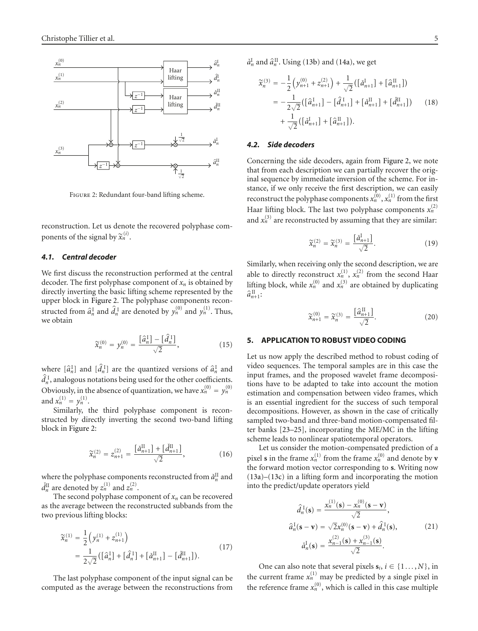

Figure 2: Redundant four-band lifting scheme.

<span id="page-4-1"></span>reconstruction. Let us denote the recovered polyphase components of the signal by  $\widetilde{x}_n^{(i)}$ .

#### *4.1. Central decoder*

We first discuss the reconstruction performed at the central decoder. The first polyphase component of  $x_n$  is obtained by directly inverting the basic lifting scheme represented by the upper block in [Figure 2.](#page-4-1) The polyphase components reconstructed from  $\hat{a}_n^{\text{I}}$  and  $\hat{d}_n^{\text{I}}$  are denoted by  $y_n^{(0)}$  and  $y_n^{(1)}$ . Thus, we obtain

$$
\widetilde{x}_n^{(0)} = y_n^{(0)} = \frac{\left[\widehat{a}_n^1\right] - \left[\widehat{d}_n^1\right]}{\sqrt{2}},\tag{15}
$$

where  $[\hat{a}_n^{\text{I}}]$  and  $[\hat{d}_n^{\text{I}}]$  are the quantized versions of  $\hat{a}_n^{\text{I}}$  and  $\hat{a}_n^{\text{I}}$  $\hat{d}_n^1$ , analogous notations being used for the other coefficients. Obviously, in the absence of quantization, we have  $x_n^{(0)} = y_n^{(0)}$ and  $x_n^{(1)} = y_n^{(1)}$ .

Similarly, the third polyphase component is reconstructed by directly inverting the second two-band lifting block in [Figure 2:](#page-4-1)

$$
\widetilde{x}_n^{(2)} = z_{n+1}^{(2)} = \frac{\left[\breve{a}_{n+1}^{\text{II}}\right] + \left[\breve{d}_{n+1}^{\text{II}}\right]}{\sqrt{2}},\tag{16}
$$

where the polyphase components reconstructed from  $\check a_n^{\rm II}$  and  $\check{d}_n^{\text{II}}$  are denoted by  $z_n^{(1)}$  and  $z_n^{(2)}$ .

The second polyphase component of  $x_n$  can be recovered as the average between the reconstructed subbands from the two previous lifting blocks:

$$
\widetilde{x}_n^{(1)} = \frac{1}{2} \left( y_n^{(1)} + z_{n+1}^{(1)} \right)
$$
  
= 
$$
\frac{1}{2\sqrt{2}} \left( \left[ \widehat{a}_n^{\text{I}} \right] + \left[ \widehat{d}_n^{\text{I}} \right] + \left[ \widecheck{a}_{n+1}^{\text{II}} \right] - \left[ \widecheck{d}_{n+1}^{\text{II}} \right] \right).
$$
 (17)

The last polyphase component of the input signal can be computed as the average between the reconstructions from

 $\hat{a}_n^{\text{I}}$  and  $\hat{a}_n^{\text{II}}$ . Using [\(13b\)](#page-3-2) and [\(14a\)](#page-3-3), we get

$$
\widetilde{x}_{n}^{(3)} = -\frac{1}{2} \left( y_{n+1}^{(0)} + z_{n+1}^{(2)} \right) + \frac{1}{\sqrt{2}} \left( \left[ \check{a}_{n+1}^{I} \right] + \left[ \hat{a}_{n+1}^{II} \right] \right)
$$
\n
$$
= -\frac{1}{2\sqrt{2}} \left( \left[ \hat{a}_{n+1}^{I} \right] - \left[ \hat{d}_{n+1}^{I} \right] + \left[ \check{a}_{n+1}^{II} \right] + \left[ \check{d}_{n+1}^{II} \right] \right) \tag{18}
$$
\n
$$
+ \frac{1}{\sqrt{2}} \left( \left[ \check{a}_{n+1}^{I} \right] + \left[ \hat{a}_{n+1}^{II} \right] \right).
$$

#### *4.2. Side decoders*

Concerning the side decoders, again from [Figure 2,](#page-4-1) we note that from each description we can partially recover the original sequence by immediate inversion of the scheme. For instance, if we only receive the first description, we can easily reconstruct the polyphase components  $x_n^{(0)}$ ,  $x_n^{(1)}$  from the first Haar lifting block. The last two polyphase components  $x_n^{(2)}$ and  $x_n^{(3)}$  are reconstructed by assuming that they are similar:

$$
\widetilde{\mathbf{x}}_n^{(2)} = \widetilde{\mathbf{x}}_n^{(3)} = \frac{\left[\check{a}_{n+1}^{\mathsf{T}}\right]}{\sqrt{2}}.
$$
\n(19)

Similarly, when receiving only the second description, we are able to directly reconstruct  $x_n^{(1)}$ ,  $x_n^{(2)}$  from the second Haar lifting block, while  $x_n^{(0)}$  and  $x_n^{(3)}$  are obtained by duplicating  $\hat{a}_{n+1}^{\text{II}}$ :

$$
\widetilde{x}_{n+1}^{(0)} = \widetilde{x}_n^{(3)} = \frac{\left[\widehat{a}_{n+1}^{\text{II}}\right]}{\sqrt{2}}.
$$
\n(20)

#### <span id="page-4-0"></span>**5. APPLICATION TO ROBUST VIDEO CODING**

Let us now apply the described method to robust coding of video sequences. The temporal samples are in this case the input frames, and the proposed wavelet frame decompositions have to be adapted to take into account the motion estimation and compensation between video frames, which is an essential ingredient for the success of such temporal decompositions. However, as shown in the case of critically sampled two-band and three-band motion-compensated filter banks [\[23](#page-11-6)[–25\]](#page-11-7), incorporating the ME/MC in the lifting scheme leads to nonlinear spatiotemporal operators.

Let us consider the motion-compensated prediction of a pixel **s** in the frame  $x_n^{(1)}$  from the frame  $x_n^{(0)}$  and denote by **v** the forward motion vector corresponding to **s**. Writing now [\(13a\)](#page-3-4)–[\(13c\)](#page-3-5) in a lifting form and incorporating the motion into the predict/update operators yield

<span id="page-4-2"></span>
$$
\hat{d}_n^{\,1}(\mathbf{s}) = \frac{x_n^{(1)}(\mathbf{s}) - x_n^{(0)}(\mathbf{s} - \mathbf{v})}{\sqrt{2}},
$$
\n
$$
\hat{a}_n^{\,1}(\mathbf{s} - \mathbf{v}) = \sqrt{2}x_n^{(0)}(\mathbf{s} - \mathbf{v}) + \hat{d}_n^{\,1}(\mathbf{s}),
$$
\n
$$
\check{a}_n^{\,I}(\mathbf{s}) = \frac{x_{n-1}^{(2)}(\mathbf{s}) + x_{n-1}^{(3)}(\mathbf{s})}{\sqrt{2}}.
$$
\n(21)

One can also note that several pixels  $s_i$ ,  $i \in \{1, ..., N\}$ , in the current frame  $x_n^{(1)}$  may be predicted by a single pixel in the reference frame  $x_n^{(0)}$ , which is called in this case multiple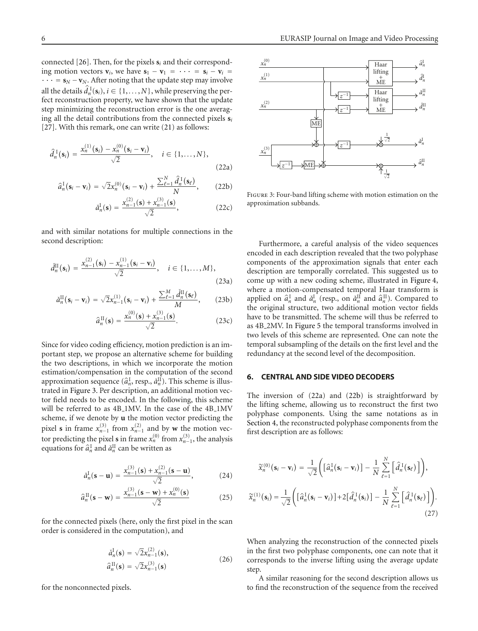connected [\[26\]](#page-11-8). Then, for the pixels **s***<sup>i</sup>* and their corresponding motion vectors  $\mathbf{v}_i$ , we have  $\mathbf{s}_1 - \mathbf{v}_1 = \cdots = \mathbf{s}_i - \mathbf{v}_i =$  $\cdot \cdot \cdot = \mathbf{s}_N - \mathbf{v}_N$ . After noting that the update step may involve all the details  $\hat{d}_n^{\text{I}}(\mathbf{s}_i), i \in \{1, \ldots, N\}$ , while preserving the perfect reconstruction property, we have shown that the update step minimizing the reconstruction error is the one averaging all the detail contributions from the connected pixels **s***<sup>i</sup>* [\[27](#page-11-9)]. With this remark, one can write  $(21)$  as follows:

$$
\hat{d}_n^{\,1}(\mathbf{s}_i) = \frac{x_n^{(1)}(\mathbf{s}_i) - x_n^{(0)}(\mathbf{s}_i - \mathbf{v}_i)}{\sqrt{2}}, \quad i \in \{1, \dots, N\},
$$
\n(22a)

$$
\hat{a}_n^{\mathrm{I}}(\mathbf{s}_i-\mathbf{v}_i)=\sqrt{2}x_n^{(0)}(\mathbf{s}_i-\mathbf{v}_i)+\frac{\sum_{\ell=1}^N\hat{d}_n^{\mathrm{I}}(\mathbf{s}_\ell)}{N},\qquad(22b)
$$

<span id="page-5-3"></span><span id="page-5-2"></span>
$$
\check{a}_n^{\text{I}}(\mathbf{s}) = \frac{x_{n-1}^{(2)}(\mathbf{s}) + x_{n-1}^{(3)}(\mathbf{s})}{\sqrt{2}},\tag{22c}
$$

and with similar notations for multiple connections in the second description:

$$
\check{d}_n^{\text{II}}(\mathbf{s}_i) = \frac{x_{n-1}^{(2)}(\mathbf{s}_i) - x_{n-1}^{(1)}(\mathbf{s}_i - \mathbf{v}_i)}{\sqrt{2}}, \quad i \in \{1, ..., M\},
$$
\n(23a)

$$
\check{a}_n^{\text{II}}(\mathbf{s}_i - \mathbf{v}_i) = \sqrt{2}x_{n-1}^{(1)}(\mathbf{s}_i - \mathbf{v}_i) + \frac{\sum_{\ell=1}^M \check{d}_n^{\text{II}}(\mathbf{s}_\ell)}{M},\qquad(23b)
$$

<span id="page-5-5"></span><span id="page-5-4"></span>
$$
\hat{a}_n^{\text{II}}(\mathbf{s}) = \frac{x_n^{(0)}(\mathbf{s}) + x_{n-1}^{(3)}(\mathbf{s})}{\sqrt{2}}.
$$
 (23c)

Since for video coding efficiency, motion prediction is an important step, we propose an alternative scheme for building the two descriptions, in which we incorporate the motion estimation/compensation in the computation of the second approximation sequence  $(\hat{a}_{n}^{\text{I}}, \text{resp}, \check{a}_{n}^{\text{II}})$ . This scheme is illus-<br>trated in Figure 3, Per description, an additional motion vectrated in [Figure 3.](#page-5-1) Per description, an additional motion vector field needs to be encoded. In the following, this scheme will be referred to as 4B 1MV. In the case of the 4B 1MV scheme, if we denote by **u** the motion vector predicting the pixel **s** in frame  $x_{n-1}^{(3)}$  from  $x_{n-1}^{(2)}$  and by **w** the motion vector predicting the pixel **s** in frame  $x_n^{(0)}$  from  $x_{n-1}^{(3)}$ , the analysis equations for  $\hat{a}_n^{\text{I}}$  and  $\check{a}_n^{\text{II}}$  can be written as

<span id="page-5-7"></span><span id="page-5-6"></span>
$$
\check{a}_n^{\mathrm{I}}(\mathbf{s}-\mathbf{u}) = \frac{x_{n-1}^{(3)}(\mathbf{s}) + x_{n-1}^{(2)}(\mathbf{s}-\mathbf{u})}{\sqrt{2}},\tag{24}
$$

$$
\hat{a}_n^{\text{II}}(\mathbf{s} - \mathbf{w}) = \frac{x_{n-1}^{(3)}(\mathbf{s} - \mathbf{w}) + x_n^{(0)}(\mathbf{s})}{\sqrt{2}}
$$
(25)

for the connected pixels (here, only the first pixel in the scan order is considered in the computation), and

$$
\tilde{a}_n^{\mathrm{I}}(\mathbf{s}) = \sqrt{2} x_{n-1}^{(2)}(\mathbf{s}), \n\hat{a}_n^{\mathrm{II}}(\mathbf{s}) = \sqrt{2} x_{n-1}^{(3)}(\mathbf{s})
$$
\n(26)

for the nonconnected pixels.



<span id="page-5-1"></span>Figure 3: Four-band lifting scheme with motion estimation on the approximation subbands.

Furthermore, a careful analysis of the video sequences encoded in each description revealed that the two polyphase components of the approximation signals that enter each description are temporally correlated. This suggested us to come up with a new coding scheme, illustrated in [Figure 4,](#page-6-0) where a motion-compensated temporal Haar transform is applied on  $\hat{a}_{n}^{\text{I}}$  and  $\check{a}_{n}^{\text{I}}$  (resp., on  $\check{a}_{n}^{\text{II}}$  and  $\hat{a}_{n}^{\text{II}}$ ). Compared to the original structure two additional motion vector fields the original structure, two additional motion vector fields have to be transmitted. The scheme will thus be referred to as 4B 2MV. In [Figure 5](#page-6-1) the temporal transforms involved in two levels of this scheme are represented. One can note the temporal subsampling of the details on the first level and the redundancy at the second level of the decomposition.

#### <span id="page-5-0"></span>**6. CENTRAL AND SIDE VIDEO DECODERS**

The inversion of [\(22a\)](#page-5-2) and [\(22b\)](#page-5-3) is straightforward by the lifting scheme, allowing us to reconstruct the first two polyphase components. Using the same notations as in [Section 4,](#page-3-0) the reconstructed polyphase components from the first description are as follows:

<span id="page-5-8"></span>
$$
\widetilde{\mathbf{x}}_n^{(0)}(\mathbf{s}_i - \mathbf{v}_i) = \frac{1}{\sqrt{2}} \Bigg( \big[\widehat{a}_n^{\mathrm{T}}(\mathbf{s}_i - \mathbf{v}_i)\big] - \frac{1}{N} \sum_{\ell=1}^N \big[\widehat{d}_n^{\mathrm{T}}(\mathbf{s}_\ell) \big] \Bigg),
$$
  

$$
\widetilde{\mathbf{x}}_n^{(1)}(\mathbf{s}_i) = \frac{1}{\sqrt{2}} \Bigg( \big[\widehat{a}_n^{\mathrm{T}}(\mathbf{s}_i - \mathbf{v}_i)\big] + 2 \big[\widehat{d}_n^{\mathrm{T}}(\mathbf{s}_i)\big] - \frac{1}{N} \sum_{\ell=1}^N \big[\widehat{d}_n^{\mathrm{T}}(\mathbf{s}_\ell) \big] \Bigg).
$$
\n(27)

When analyzing the reconstruction of the connected pixels in the first two polyphase components, one can note that it corresponds to the inverse lifting using the average update step.

A similar reasoning for the second description allows us to find the reconstruction of the sequence from the received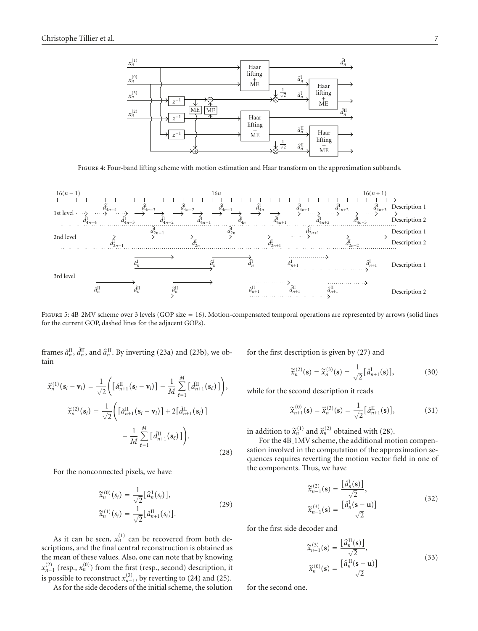

Figure 4: Four-band lifting scheme with motion estimation and Haar transform on the approximation subbands.

<span id="page-6-0"></span>

<span id="page-6-1"></span>FIGURE 5: 4B 2MV scheme over 3 levels (GOP size = 16). Motion-compensated temporal operations are represented by arrows (solid lines for the current GOP, dashed lines for the adjacent GOPs).

frames  $\check{a}_n^{\text{II}}$ ,  $\check{d}_n^{\text{II}}$ , and  $\hat{a}_n^{\text{II}}$ . By inverting [\(23a\)](#page-5-4) and [\(23b\)](#page-5-5), we obtain tain

> $-\frac{1}{M}\sum_{\ell=1}^{M}$  $\ell=1$

 $\left( \left[ \check{a}_{n+1}^{\text{II}} \left( \mathbf{s}_i - \mathbf{v}_i \right) \right] - \frac{1}{M} \sum_{\ell=1}^{M} \right)$ 

 $\left( [\check{a}_{n+1}^{\text{II}}(\mathbf{s}_i - \mathbf{v}_i)] + 2[\check{d}_{n+1}^{\text{II}}(\mathbf{s}_i)] \right)$ 

<span id="page-6-2"></span> $\left[\check{d}_{n+1}^{\text{II}}\left(\mathbf{s}_{\ell}\right)\right]\bigg).$ 

 $\ell=1$ 

 $\left[\check{d}_{n+1}^{\text{II}}\left(\mathbf{s}_{\ell}\right)\right]\bigg),$ 

(28)

for the first description is given by [\(27\)](#page-5-8) and

$$
\widetilde{\chi}_n^{(2)}(\mathbf{s}) = \widetilde{\chi}_n^{(3)}(\mathbf{s}) = \frac{1}{\sqrt{2}} [\check{a}_{n+1}^{\mathrm{I}}(\mathbf{s})],\tag{30}
$$

while for the second description it reads

$$
\widetilde{\chi}_{n+1}^{(0)}(\mathbf{s}) = \widetilde{\chi}_n^{(3)}(\mathbf{s}) = \frac{1}{\sqrt{2}} [\check{a}_{n+1}^{\text{II}}(\mathbf{s})],\tag{31}
$$

in addition to  $\tilde{\chi}_n^{(1)}$  and  $\tilde{\chi}_n^{(2)}$  obtained with [\(28\)](#page-6-2).<br>For the 4B 1MV scheme, the additional mo

For the 4B 1MV scheme, the additional motion compensation involved in the computation of the approximation sequences requires reverting the motion vector field in one of the components. Thus, we have

$$
\widetilde{\mathbf{x}}_{n-1}^{(2)}(\mathbf{s}) = \frac{\left[\breve{a}_n^{\mathrm{I}}(\mathbf{s})\right]}{\sqrt{2}},
$$
\n
$$
\widetilde{\mathbf{x}}_{n-1}^{(3)}(\mathbf{s}) = \frac{\left[\breve{a}_n^{\mathrm{I}}(\mathbf{s} - \mathbf{u})\right]}{\sqrt{2}}
$$
\n(32)

for the first side decoder and

$$
\widetilde{\mathbf{x}}_{n-1}^{(3)}(\mathbf{s}) = \frac{\left[\widehat{a}_n^{\Pi}(\mathbf{s})\right]}{\sqrt{2}},
$$
\n
$$
\widetilde{\mathbf{x}}_n^{(0)}(\mathbf{s}) = \frac{\left[\widehat{a}_n^{\Pi}(\mathbf{s} - \mathbf{u})\right]}{\sqrt{2}}
$$
\n(33)

for the second one.

For the nonconnected pixels, we have

 $\widetilde{\mathbf{x}}_n^{(1)}(\mathbf{s}_i - \mathbf{v}_i) = \frac{1}{\sqrt{2}}$ 

 $\widetilde{x}_n^{(2)}(\mathbf{s}_i) = \frac{1}{\sqrt{2}}$ 

$$
\widetilde{\mathbf{x}}_{n}^{(0)}(s_{i}) = \frac{1}{\sqrt{2}} [\hat{a}_{n}^{1}(s_{i})], \n\widetilde{\mathbf{x}}_{n}^{(1)}(s_{i}) = \frac{1}{\sqrt{2}} [\check{a}_{n+1}^{II}(s_{i})].
$$
\n(29)

As it can be seen,  $x_n^{(1)}$  can be recovered from both descriptions, and the final central reconstruction is obtained as the mean of these values. Also, one can note that by knowing  $x_{n-1}^{(2)}$  (resp.,  $x_n^{(0)}$ ) from the first (resp., second) description, it is possible to reconstruct  $x_{n-1}^{(3)}$ , by reverting to [\(24\)](#page-5-6) and [\(25\)](#page-5-7).

As for the side decoders of the initial scheme, the solution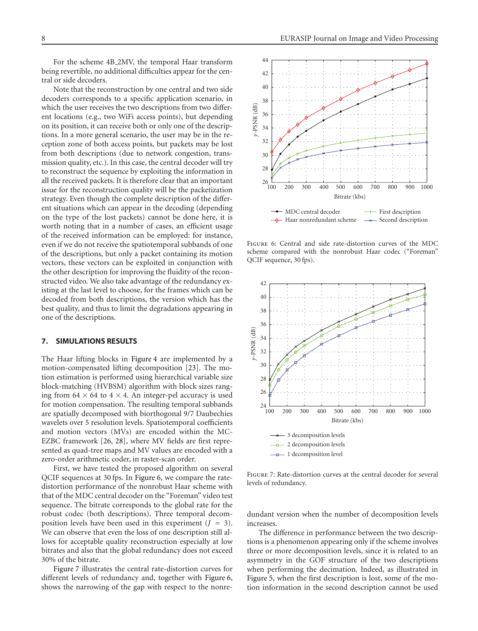For the scheme 4B 2MV, the temporal Haar transform being revertible, no additional difficulties appear for the central or side decoders.

Note that the reconstruction by one central and two side decoders corresponds to a specific application scenario, in which the user receives the two descriptions from two different locations (e.g., two WiFi access points), but depending on its position, it can receive both or only one of the descriptions. In a more general scenario, the user may be in the reception zone of both access points, but packets may be lost from both descriptions (due to network congestion, transmission quality, etc.). In this case, the central decoder will try to reconstruct the sequence by exploiting the information in all the received packets. It is therefore clear that an important issue for the reconstruction quality will be the packetization strategy. Even though the complete description of the different situations which can appear in the decoding (depending on the type of the lost packets) cannot be done here, it is worth noting that in a number of cases, an efficient usage of the received information can be employed: for instance, even if we do not receive the spatiotemporal subbands of one of the descriptions, but only a packet containing its motion vectors, these vectors can be exploited in conjunction with the other description for improving the fluidity of the reconstructed video. We also take advantage of the redundancy existing at the last level to choose, for the frames which can be decoded from both descriptions, the version which has the best quality, and thus to limit the degradations appearing in one of the descriptions.

#### <span id="page-7-0"></span>**7. SIMULATIONS RESULTS**

The Haar lifting blocks in [Figure 4](#page-6-0) are implemented by a motion-compensated lifting decomposition [\[23](#page-11-6)]. The motion estimation is performed using hierarchical variable size block-matching (HVBSM) algorithm with block sizes ranging from  $64 \times 64$  to  $4 \times 4$ . An integer-pel accuracy is used for motion compensation. The resulting temporal subbands are spatially decomposed with biorthogonal 9/7 Daubechies wavelets over 5 resolution levels. Spatiotemporal coefficients and motion vectors (MVs) are encoded within the MC-EZBC framework [\[26](#page-11-8), [28](#page-11-10)], where MV fields are first represented as quad-tree maps and MV values are encoded with a zero-order arithmetic coder, in raster-scan order.

First, we have tested the proposed algorithm on several QCIF sequences at 30 fps. In [Figure 6,](#page-7-1) we compare the ratedistortion performance of the nonrobust Haar scheme with that of the MDC central decoder on the "Foreman" video test sequence. The bitrate corresponds to the global rate for the robust codec (both descriptions). Three temporal decomposition levels have been used in this experiment  $(J = 3)$ . We can observe that even the loss of one description still allows for acceptable quality reconstruction especially at low bitrates and also that the global redundancy does not exceed 30% of the bitrate.

[Figure 7](#page-7-2) illustrates the central rate-distortion curves for different levels of redundancy and, together with [Figure 6,](#page-7-1) shows the narrowing of the gap with respect to the nonre-



<span id="page-7-1"></span>Figure 6: Central and side rate-distortion curves of the MDC scheme compared with the nonrobust Haar codec ("Foreman" QCIF sequence, 30 fps).



<span id="page-7-2"></span>Figure 7: Rate-distortion curves at the central decoder for several levels of redundancy.

dundant version when the number of decomposition levels increases.

The difference in performance between the two descriptions is a phenomenon appearing only if the scheme involves three or more decomposition levels, since it is related to an asymmetry in the GOF structure of the two descriptions when performing the decimation. Indeed, as illustrated in [Figure 5,](#page-6-1) when the first description is lost, some of the motion information in the second description cannot be used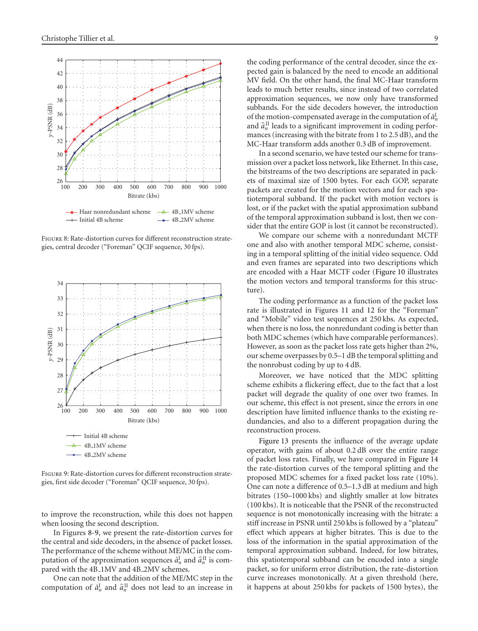

<span id="page-8-0"></span>Figure 8: Rate-distortion curves for different reconstruction strategies, central decoder ("Foreman" QCIF sequence, 30 fps).



<span id="page-8-1"></span>Figure 9: Rate-distortion curves for different reconstruction strategies, first side decoder ("Foreman" QCIF sequence, 30 fps).

to improve the reconstruction, while this does not happen when loosing the second description.

In Figures [8](#page-8-0)[-9,](#page-8-1) we present the rate-distortion curves for the central and side decoders, in the absence of packet losses. The performance of the scheme without ME/MC in the computation of the approximation sequences  $\tilde{a}_n^{\text{I}}$  and  $\hat{a}_n^{\text{II}}$  is com-<br>pared with the 4B-1MV and 4B-2MV schames pared with the 4B 1MV and 4B 2MV schemes.

One can note that the addition of the ME/MC step in the computation of  $\check{a}_n^{\text{I}}$  and  $\hat{a}_n^{\text{II}}$  does not lead to an increase in

the coding performance of the central decoder, since the expected gain is balanced by the need to encode an additional MV field. On the other hand, the final MC-Haar transform leads to much better results, since instead of two correlated approximation sequences, we now only have transformed subbands. For the side decoders however, the introduction of the motion-compensated average in the computation of  $\check{a}_n^{\text{I}}$ and  $\hat{a}_{n}^{\Pi}$  leads to a significant improvement in coding perfor-<br>mances (increasing with the bitrate from 1 to 2.5 dB), and the mances (increasing with the bitrate from 1 to 2.5 dB), and the MC-Haar transform adds another 0.3 dB of improvement.

In a second scenario, we have tested our scheme for transmission over a packet loss network, like Ethernet. In this case, the bitstreams of the two descriptions are separated in packets of maximal size of 1500 bytes. For each GOP, separate packets are created for the motion vectors and for each spatiotemporal subband. If the packet with motion vectors is lost, or if the packet with the spatial approximation subband of the temporal approximation subband is lost, then we consider that the entire GOP is lost (it cannot be reconstructed).

We compare our scheme with a nonredundant MCTF one and also with another temporal MDC scheme, consisting in a temporal splitting of the initial video sequence. Odd and even frames are separated into two descriptions which are encoded with a Haar MCTF coder [\(Figure 10](#page-9-1) illustrates the motion vectors and temporal transforms for this structure).

The coding performance as a function of the packet loss rate is illustrated in Figures [11](#page-9-2) and [12](#page-9-3) for the "Foreman" and "Mobile" video test sequences at 250 kbs. As expected, when there is no loss, the nonredundant coding is better than both MDC schemes (which have comparable performances). However, as soon as the packet loss rate gets higher than 2%, our scheme overpasses by 0.5–1 dB the temporal splitting and the nonrobust coding by up to 4 dB.

Moreover, we have noticed that the MDC splitting scheme exhibits a flickering effect, due to the fact that a lost packet will degrade the quality of one over two frames. In our scheme, this effect is not present, since the errors in one description have limited influence thanks to the existing redundancies, and also to a different propagation during the reconstruction process.

[Figure 13](#page-10-14) presents the influence of the average update operator, with gains of about 0.2 dB over the entire range of packet loss rates. Finally, we have compared in [Figure 14](#page-10-15) the rate-distortion curves of the temporal splitting and the proposed MDC schemes for a fixed packet loss rate (10%). One can note a difference of 0.5–1.3 dB at medium and high bitrates (150–1000 kbs) and slightly smaller at low bitrates (100 kbs). It is noticeable that the PSNR of the reconstructed sequence is not monotonically increasing with the bitrate: a stiff increase in PSNR until 250 kbs is followed by a "plateau" effect which appears at higher bitrates. This is due to the loss of the information in the spatial approximation of the temporal approximation subband. Indeed, for low bitrates, this spatiotemporal subband can be encoded into a single packet, so for uniform error distribution, the rate-distortion curve increases monotonically. At a given threshold (here, it happens at about 250 kbs for packets of 1500 bytes), the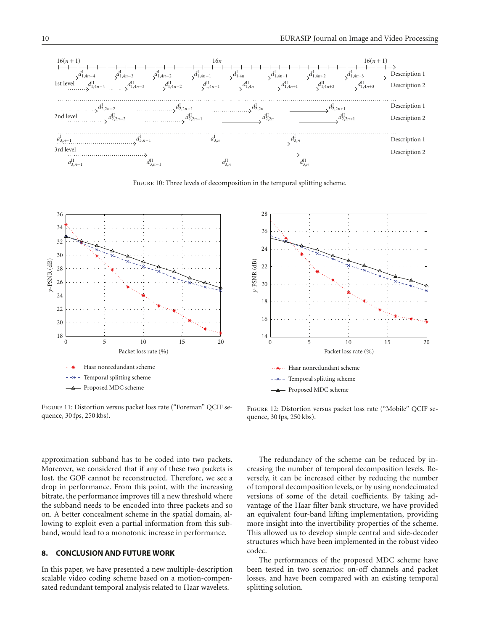

<span id="page-9-1"></span>FIGURE 10: Three levels of decomposition in the temporal splitting scheme.



<span id="page-9-2"></span>Figure 11: Distortion versus packet loss rate ("Foreman" QCIF sequence, 30 fps, 250 kbs).

approximation subband has to be coded into two packets. Moreover, we considered that if any of these two packets is lost, the GOF cannot be reconstructed. Therefore, we see a drop in performance. From this point, with the increasing bitrate, the performance improves till a new threshold where the subband needs to be encoded into three packets and so on. A better concealment scheme in the spatial domain, allowing to exploit even a partial information from this subband, would lead to a monotonic increase in performance.

## <span id="page-9-0"></span>**8. CONCLUSION AND FUTURE WORK**

In this paper, we have presented a new multiple-description scalable video coding scheme based on a motion-compensated redundant temporal analysis related to Haar wavelets.



<span id="page-9-3"></span>Figure 12: Distortion versus packet loss rate ("Mobile" QCIF sequence, 30 fps, 250 kbs).

The redundancy of the scheme can be reduced by increasing the number of temporal decomposition levels. Reversely, it can be increased either by reducing the number of temporal decomposition levels, or by using nondecimated versions of some of the detail coefficients. By taking advantage of the Haar filter bank structure, we have provided an equivalent four-band lifting implementation, providing more insight into the invertibility properties of the scheme. This allowed us to develop simple central and side-decoder structures which have been implemented in the robust video codec.

The performances of the proposed MDC scheme have been tested in two scenarios: on-off channels and packet losses, and have been compared with an existing temporal splitting solution.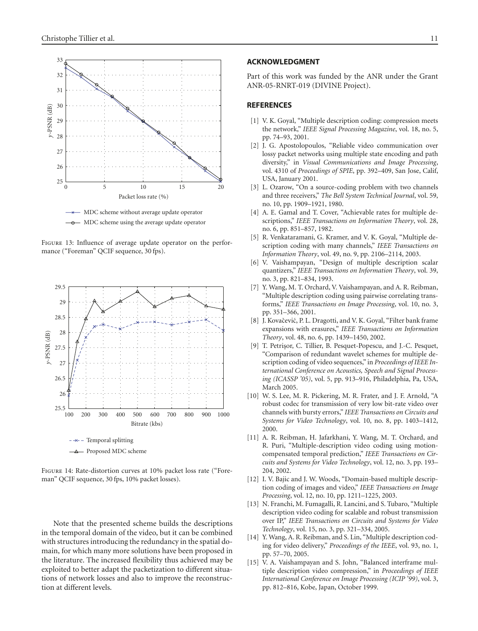

<span id="page-10-14"></span>FIGURE 13: Influence of average update operator on the performance ("Foreman" QCIF sequence, 30 fps).



<span id="page-10-15"></span>Figure 14: Rate-distortion curves at 10% packet loss rate ("Foreman" QCIF sequence, 30 fps, 10% packet losses).

Note that the presented scheme builds the descriptions in the temporal domain of the video, but it can be combined with structures introducing the redundancy in the spatial domain, for which many more solutions have been proposed in the literature. The increased flexibility thus achieved may be exploited to better adapt the packetization to different situations of network losses and also to improve the reconstruction at different levels.

#### **ACKNOWLEDGMENT**

Part of this work was funded by the ANR under the Grant ANR-05-RNRT-019 (DIVINE Project).

#### <span id="page-10-1"></span><span id="page-10-0"></span>**REFERENCES**

- [1] V. K. Goyal, "Multiple description coding: compression meets the network," *IEEE Signal Processing Magazine*, vol. 18, no. 5, pp. 74–93, 2001.
- <span id="page-10-2"></span>[2] J. G. Apostolopoulos, "Reliable video communication over lossy packet networks using multiple state encoding and path diversity," in *Visual Communications and Image Processing*, vol. 4310 of *Proceedings of SPIE*, pp. 392–409, San Jose, Calif, USA, January 2001.
- <span id="page-10-3"></span>[3] L. Ozarow, "On a source-coding problem with two channels and three receivers," *The Bell System Technical Journal*, vol. 59, no. 10, pp. 1909–1921, 1980.
- <span id="page-10-4"></span>[4] A. E. Gamal and T. Cover, "Achievable rates for multiple descriptions," *IEEE Transactions on Information Theory*, vol. 28, no. 6, pp. 851–857, 1982.
- <span id="page-10-5"></span>[5] R. Venkataramani, G. Kramer, and V. K. Goyal, "Multiple description coding with many channels," *IEEE Transactions on Information Theory*, vol. 49, no. 9, pp. 2106–2114, 2003.
- <span id="page-10-6"></span>[6] V. Vaishampayan, "Design of multiple description scalar quantizers," *IEEE Transactions on Information Theory*, vol. 39, no. 3, pp. 821–834, 1993.
- <span id="page-10-7"></span>[7] Y. Wang, M. T. Orchard, V. Vaishampayan, and A. R. Reibman, "Multiple description coding using pairwise correlating transforms," *IEEE Transactions on Image Processing*, vol. 10, no. 3, pp. 351–366, 2001.
- <span id="page-10-8"></span>[8] J. Kovačević, P. L. Dragotti, and V. K. Goyal, "Filter bank frame expansions with erasures," *IEEE Transactions on Information Theory*, vol. 48, no. 6, pp. 1439–1450, 2002.
- <span id="page-10-9"></span>[9] T. Petrişor, C. Tillier, B. Pesquet-Popescu, and J.-C. Pesquet, "Comparison of redundant wavelet schemes for multiple description coding of video sequences," in *Proceedings of IEEE International Conference on Acoustics, Speech and Signal Processing (ICASSP '05)*, vol. 5, pp. 913–916, Philadelphia, Pa, USA, March 2005.
- <span id="page-10-10"></span>[10] W. S. Lee, M. R. Pickering, M. R. Frater, and J. F. Arnold, "A robust codec for transmission of very low bit-rate video over channels with bursty errors," *IEEE Transactions on Circuits and Systems for Video Technology*, vol. 10, no. 8, pp. 1403–1412, 2000.
- [11] A. R. Reibman, H. Jafarkhani, Y. Wang, M. T. Orchard, and R. Puri, "Multiple-description video coding using motioncompensated temporal prediction," *IEEE Transactions on Circuits and Systems for Video Technology*, vol. 12, no. 3, pp. 193– 204, 2002.
- [12] I. V. Bajic and J. W. Woods, "Domain-based multiple description coding of images and video," *IEEE Transactions on Image Processing*, vol. 12, no. 10, pp. 1211–1225, 2003.
- <span id="page-10-11"></span>[13] N. Franchi, M. Fumagalli, R. Lancini, and S. Tubaro, "Multiple description video coding for scalable and robust transmission over IP," *IEEE Transactions on Circuits and Systems for Video Technology*, vol. 15, no. 3, pp. 321–334, 2005.
- <span id="page-10-12"></span>[14] Y. Wang, A. R. Reibman, and S. Lin, "Multiple description coding for video delivery," *Proceedings of the IEEE*, vol. 93, no. 1, pp. 57–70, 2005.
- <span id="page-10-13"></span>[15] V. A. Vaishampayan and S. John, "Balanced interframe multiple description video compression," in *Proceedings of IEEE International Conference on Image Processing (ICIP '99)*, vol. 3, pp. 812–816, Kobe, Japan, October 1999.